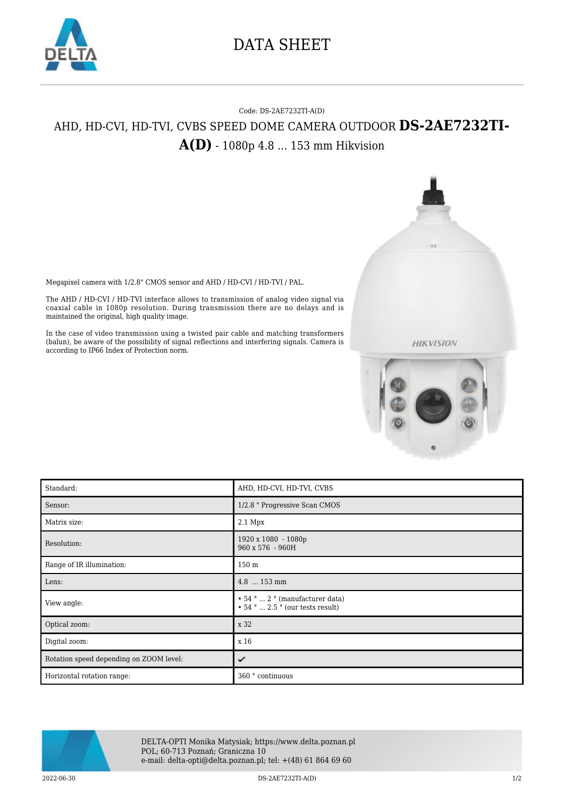

## DATA SHEET

## Code: DS-2AE7232TI-A(D) AHD, HD-CVI, HD-TVI, CVBS SPEED DOME CAMERA OUTDOOR **DS-2AE7232TI-A(D)** - 1080p 4.8 ... 153 mm Hikvision

Megapixel camera with 1/2.8" CMOS sensor and AHD / HD-CVI / HD-TVI / PAL.

The AHD / HD-CVI / HD-TVI interface allows to transmission of analog video signal via coaxial cable in 1080p resolution. During transmission there are no delays and is maintained the original, high quality image.

In the case of video transmission using a twisted pair cable and matching transformers (balun), be aware of the possibility of signal reflections and interfering signals. Camera is according to IP66 Index of Protection norm.



**HIKVISION** 

| Standard:                               | AHD, HD-CVI, HD-TVI, CVBS                                                                                   |
|-----------------------------------------|-------------------------------------------------------------------------------------------------------------|
| Sensor:                                 | 1/2.8 " Progressive Scan CMOS                                                                               |
| Matrix size:                            | 2.1 Mpx                                                                                                     |
| Resolution:                             | 1920 x 1080 - 1080p<br>960 x 576 - 960H                                                                     |
| Range of IR illumination:               | 150 <sub>m</sub>                                                                                            |
| Lens:                                   | 4.8  153 mm                                                                                                 |
| View angle:                             | $\cdot$ 54 °  2 ° (manufacturer data)<br>$\bullet$ 54 $^{\circ}$ $\ldots$ 2.5 $^{\circ}$ (our tests result) |
| Optical zoom:                           | x 32                                                                                                        |
| Digital zoom:                           | x 16                                                                                                        |
| Rotation speed depending on ZOOM level: | ✓                                                                                                           |
| Horizontal rotation range:              | 360 ° continuous                                                                                            |



DELTA-OPTI Monika Matysiak; https://www.delta.poznan.pl POL; 60-713 Poznań; Graniczna 10 e-mail: delta-opti@delta.poznan.pl; tel: +(48) 61 864 69 60

2022-06-30 DS-2AE7232TI-A(D) 1/2